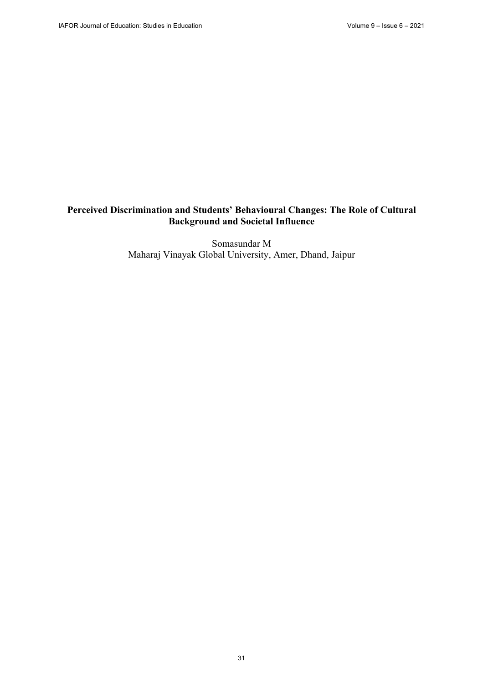# **Perceived Discrimination and Students' Behavioural Changes: The Role of Cultural Background and Societal Influence**

Somasundar M Maharaj Vinayak Global University, Amer, Dhand, Jaipur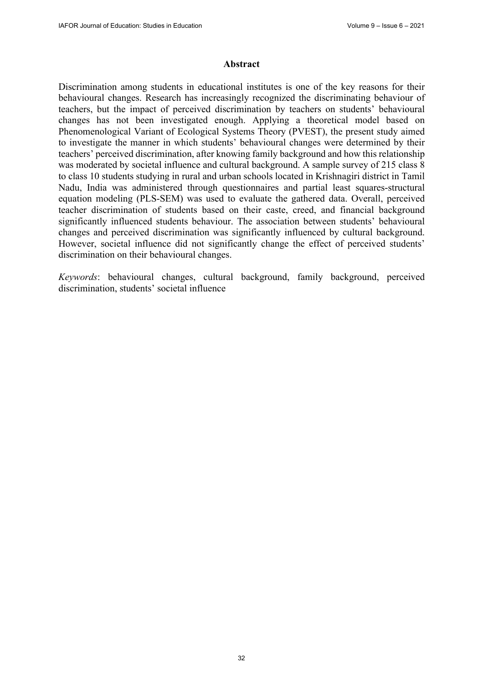#### **Abstract**

Discrimination among students in educational institutes is one of the key reasons for their behavioural changes. Research has increasingly recognized the discriminating behaviour of teachers, but the impact of perceived discrimination by teachers on students' behavioural changes has not been investigated enough. Applying a theoretical model based on Phenomenological Variant of Ecological Systems Theory (PVEST), the present study aimed to investigate the manner in which students' behavioural changes were determined by their teachers' perceived discrimination, after knowing family background and how this relationship was moderated by societal influence and cultural background. A sample survey of 215 class 8 to class 10 students studying in rural and urban schools located in Krishnagiri district in Tamil Nadu, India was administered through questionnaires and partial least squares-structural equation modeling (PLS-SEM) was used to evaluate the gathered data. Overall, perceived teacher discrimination of students based on their caste, creed, and financial background significantly influenced students behaviour. The association between students' behavioural changes and perceived discrimination was significantly influenced by cultural background. However, societal influence did not significantly change the effect of perceived students' discrimination on their behavioural changes.

*Keywords*: behavioural changes, cultural background, family background, perceived discrimination, students' societal influence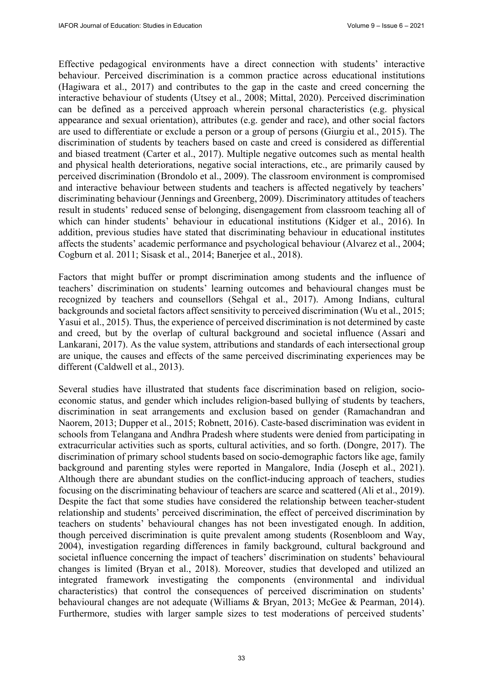Effective pedagogical environments have a direct connection with students' interactive behaviour. Perceived discrimination is a common practice across educational institutions (Hagiwara et al., 2017) and contributes to the gap in the caste and creed concerning the interactive behaviour of students (Utsey et al., 2008; Mittal, 2020). Perceived discrimination can be defined as a perceived approach wherein personal characteristics (e.g. physical appearance and sexual orientation), attributes (e.g. gender and race), and other social factors are used to differentiate or exclude a person or a group of persons (Giurgiu et al., 2015). The discrimination of students by teachers based on caste and creed is considered as differential and biased treatment (Carter et al., 2017). Multiple negative outcomes such as mental health and physical health deteriorations, negative social interactions, etc., are primarily caused by perceived discrimination (Brondolo et al., 2009). The classroom environment is compromised and interactive behaviour between students and teachers is affected negatively by teachers' discriminating behaviour (Jennings and Greenberg, 2009). Discriminatory attitudes of teachers result in students' reduced sense of belonging, disengagement from classroom teaching all of which can hinder students' behaviour in educational institutions (Kidger et al., 2016). In addition, previous studies have stated that discriminating behaviour in educational institutes affects the students' academic performance and psychological behaviour (Alvarez et al., 2004; Cogburn et al. 2011; Sisask et al., 2014; Banerjee et al., 2018).

Factors that might buffer or prompt discrimination among students and the influence of teachers' discrimination on students' learning outcomes and behavioural changes must be recognized by teachers and counsellors (Sehgal et al., 2017). Among Indians, cultural backgrounds and societal factors affect sensitivity to perceived discrimination (Wu et al., 2015; Yasui et al., 2015). Thus, the experience of perceived discrimination is not determined by caste and creed, but by the overlap of cultural background and societal influence (Assari and Lankarani, 2017). As the value system, attributions and standards of each intersectional group are unique, the causes and effects of the same perceived discriminating experiences may be different (Caldwell et al., 2013).

Several studies have illustrated that students face discrimination based on religion, socioeconomic status, and gender which includes religion-based bullying of students by teachers, discrimination in seat arrangements and exclusion based on gender (Ramachandran and Naorem, 2013; Dupper et al., 2015; Robnett, 2016). Caste-based discrimination was evident in schools from Telangana and Andhra Pradesh where students were denied from participating in extracurricular activities such as sports, cultural activities, and so forth. (Dongre, 2017). The discrimination of primary school students based on socio-demographic factors like age, family background and parenting styles were reported in Mangalore, India (Joseph et al., 2021). Although there are abundant studies on the conflict-inducing approach of teachers, studies focusing on the discriminating behaviour of teachers are scarce and scattered (Ali et al., 2019). Despite the fact that some studies have considered the relationship between teacher-student relationship and students' perceived discrimination, the effect of perceived discrimination by teachers on students' behavioural changes has not been investigated enough. In addition, though perceived discrimination is quite prevalent among students (Rosenbloom and Way, 2004), investigation regarding differences in family background, cultural background and societal influence concerning the impact of teachers' discrimination on students' behavioural changes is limited (Bryan et al., 2018). Moreover, studies that developed and utilized an integrated framework investigating the components (environmental and individual characteristics) that control the consequences of perceived discrimination on students' behavioural changes are not adequate (Williams & Bryan, 2013; McGee & Pearman, 2014). Furthermore, studies with larger sample sizes to test moderations of perceived students'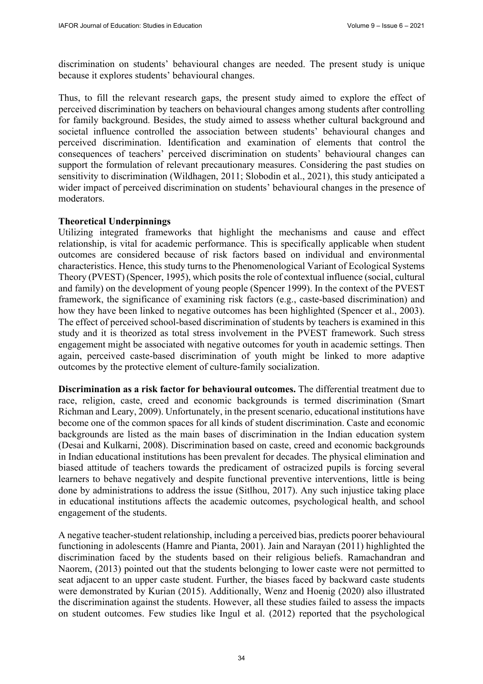discrimination on students' behavioural changes are needed. The present study is unique because it explores students' behavioural changes.

Thus, to fill the relevant research gaps, the present study aimed to explore the effect of perceived discrimination by teachers on behavioural changes among students after controlling for family background. Besides, the study aimed to assess whether cultural background and societal influence controlled the association between students' behavioural changes and perceived discrimination. Identification and examination of elements that control the consequences of teachers' perceived discrimination on students' behavioural changes can support the formulation of relevant precautionary measures. Considering the past studies on sensitivity to discrimination (Wildhagen, 2011; Slobodin et al., 2021), this study anticipated a wider impact of perceived discrimination on students' behavioural changes in the presence of moderators.

#### **Theoretical Underpinnings**

Utilizing integrated frameworks that highlight the mechanisms and cause and effect relationship, is vital for academic performance. This is specifically applicable when student outcomes are considered because of risk factors based on individual and environmental characteristics. Hence, this study turns to the Phenomenological Variant of Ecological Systems Theory (PVEST) (Spencer, 1995), which posits the role of contextual influence (social, cultural and family) on the development of young people (Spencer 1999). In the context of the PVEST framework, the significance of examining risk factors (e.g., caste-based discrimination) and how they have been linked to negative outcomes has been highlighted (Spencer et al., 2003). The effect of perceived school-based discrimination of students by teachers is examined in this study and it is theorized as total stress involvement in the PVEST framework. Such stress engagement might be associated with negative outcomes for youth in academic settings. Then again, perceived caste-based discrimination of youth might be linked to more adaptive outcomes by the protective element of culture-family socialization.

**Discrimination as a risk factor for behavioural outcomes.** The differential treatment due to race, religion, caste, creed and economic backgrounds is termed discrimination (Smart Richman and Leary, 2009). Unfortunately, in the present scenario, educational institutions have become one of the common spaces for all kinds of student discrimination. Caste and economic backgrounds are listed as the main bases of discrimination in the Indian education system (Desai and Kulkarni, 2008). Discrimination based on caste, creed and economic backgrounds in Indian educational institutions has been prevalent for decades. The physical elimination and biased attitude of teachers towards the predicament of ostracized pupils is forcing several learners to behave negatively and despite functional preventive interventions, little is being done by administrations to address the issue (Sitlhou, 2017). Any such injustice taking place in educational institutions affects the academic outcomes, psychological health, and school engagement of the students.

A negative teacher-student relationship, including a perceived bias, predicts poorer behavioural functioning in adolescents (Hamre and Pianta, 2001). Jain and Narayan (2011) highlighted the discrimination faced by the students based on their religious beliefs. Ramachandran and Naorem, (2013) pointed out that the students belonging to lower caste were not permitted to seat adjacent to an upper caste student. Further, the biases faced by backward caste students were demonstrated by Kurian (2015). Additionally, Wenz and Hoenig (2020) also illustrated the discrimination against the students. However, all these studies failed to assess the impacts on student outcomes. Few studies like Ingul et al. (2012) reported that the psychological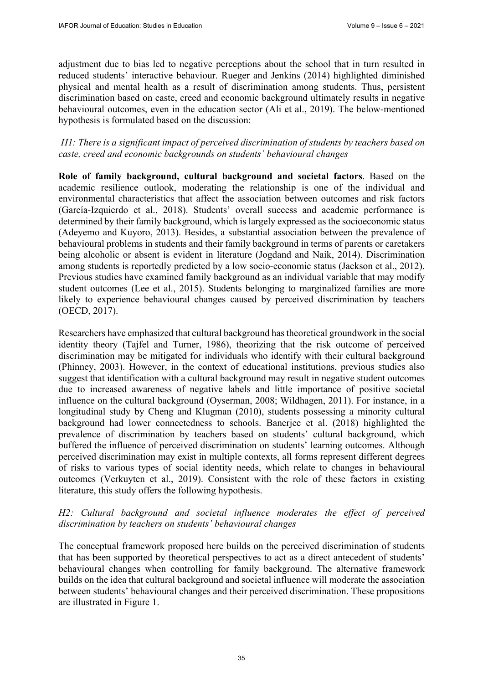adjustment due to bias led to negative perceptions about the school that in turn resulted in reduced students' interactive behaviour. Rueger and Jenkins (2014) highlighted diminished physical and mental health as a result of discrimination among students. Thus, persistent discrimination based on caste, creed and economic background ultimately results in negative behavioural outcomes, even in the education sector (Ali et al., 2019). The below-mentioned hypothesis is formulated based on the discussion:

# *H1: There is a significant impact of perceived discrimination of students by teachers based on caste, creed and economic backgrounds on students' behavioural changes*

**Role of family background, cultural background and societal factors**. Based on the academic resilience outlook, moderating the relationship is one of the individual and environmental characteristics that affect the association between outcomes and risk factors (García-Izquierdo et al., 2018). Students' overall success and academic performance is determined by their family background, which is largely expressed as the socioeconomic status (Adeyemo and Kuyoro, 2013). Besides, a substantial association between the prevalence of behavioural problems in students and their family background in terms of parents or caretakers being alcoholic or absent is evident in literature (Jogdand and Naik, 2014). Discrimination among students is reportedly predicted by a low socio-economic status (Jackson et al., 2012). Previous studies have examined family background as an individual variable that may modify student outcomes (Lee et al., 2015). Students belonging to marginalized families are more likely to experience behavioural changes caused by perceived discrimination by teachers (OECD, 2017).

Researchers have emphasized that cultural background has theoretical groundwork in the social identity theory (Tajfel and Turner, 1986), theorizing that the risk outcome of perceived discrimination may be mitigated for individuals who identify with their cultural background (Phinney, 2003). However, in the context of educational institutions, previous studies also suggest that identification with a cultural background may result in negative student outcomes due to increased awareness of negative labels and little importance of positive societal influence on the cultural background (Oyserman, 2008; Wildhagen, 2011). For instance, in a longitudinal study by Cheng and Klugman (2010), students possessing a minority cultural background had lower connectedness to schools. Banerjee et al. (2018) highlighted the prevalence of discrimination by teachers based on students' cultural background, which buffered the influence of perceived discrimination on students' learning outcomes. Although perceived discrimination may exist in multiple contexts, all forms represent different degrees of risks to various types of social identity needs, which relate to changes in behavioural outcomes (Verkuyten et al., 2019). Consistent with the role of these factors in existing literature, this study offers the following hypothesis.

## *H2: Cultural background and societal influence moderates the effect of perceived discrimination by teachers on students' behavioural changes*

The conceptual framework proposed here builds on the perceived discrimination of students that has been supported by theoretical perspectives to act as a direct antecedent of students' behavioural changes when controlling for family background. The alternative framework builds on the idea that cultural background and societal influence will moderate the association between students' behavioural changes and their perceived discrimination. These propositions are illustrated in Figure 1.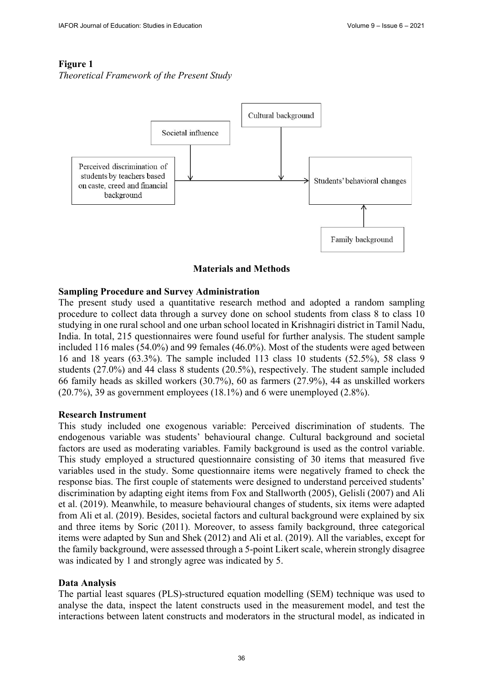# **Figure 1**

*Theoretical Framework of the Present Study* 



#### **Materials and Methods**

#### **Sampling Procedure and Survey Administration**

The present study used a quantitative research method and adopted a random sampling procedure to collect data through a survey done on school students from class 8 to class 10 studying in one rural school and one urban school located in Krishnagiri district in Tamil Nadu, India. In total, 215 questionnaires were found useful for further analysis. The student sample included 116 males (54.0%) and 99 females (46.0%). Most of the students were aged between 16 and 18 years (63.3%). The sample included 113 class 10 students (52.5%), 58 class 9 students (27.0%) and 44 class 8 students (20.5%), respectively. The student sample included 66 family heads as skilled workers (30.7%), 60 as farmers (27.9%), 44 as unskilled workers (20.7%), 39 as government employees (18.1%) and 6 were unemployed (2.8%).

#### **Research Instrument**

This study included one exogenous variable: Perceived discrimination of students. The endogenous variable was students' behavioural change. Cultural background and societal factors are used as moderating variables. Family background is used as the control variable. This study employed a structured questionnaire consisting of 30 items that measured five variables used in the study. Some questionnaire items were negatively framed to check the response bias. The first couple of statements were designed to understand perceived students' discrimination by adapting eight items from Fox and Stallworth (2005), Gelisli (2007) and Ali et al. (2019). Meanwhile, to measure behavioural changes of students, six items were adapted from Ali et al. (2019). Besides, societal factors and cultural background were explained by six and three items by Soric (2011). Moreover, to assess family background, three categorical items were adapted by Sun and Shek (2012) and Ali et al. (2019). All the variables, except for the family background, were assessed through a 5-point Likert scale, wherein strongly disagree was indicated by 1 and strongly agree was indicated by 5.

## **Data Analysis**

The partial least squares (PLS)-structured equation modelling (SEM) technique was used to analyse the data, inspect the latent constructs used in the measurement model, and test the interactions between latent constructs and moderators in the structural model, as indicated in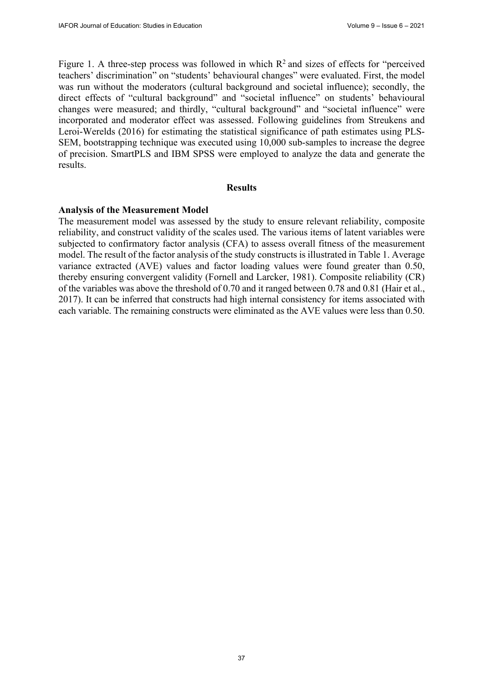Figure 1. A three-step process was followed in which  $R^2$  and sizes of effects for "perceived" teachers' discrimination" on "students' behavioural changes" were evaluated. First, the model was run without the moderators (cultural background and societal influence); secondly, the direct effects of "cultural background" and "societal influence" on students' behavioural changes were measured; and thirdly, "cultural background" and "societal influence" were incorporated and moderator effect was assessed. Following guidelines from Streukens and Leroi-Werelds (2016) for estimating the statistical significance of path estimates using PLS-SEM, bootstrapping technique was executed using 10,000 sub-samples to increase the degree of precision. SmartPLS and IBM SPSS were employed to analyze the data and generate the results.

#### **Results**

#### **Analysis of the Measurement Model**

The measurement model was assessed by the study to ensure relevant reliability, composite reliability, and construct validity of the scales used. The various items of latent variables were subjected to confirmatory factor analysis (CFA) to assess overall fitness of the measurement model. The result of the factor analysis of the study constructs is illustrated in Table 1. Average variance extracted (AVE) values and factor loading values were found greater than 0.50, thereby ensuring convergent validity (Fornell and Larcker, 1981). Composite reliability (CR) of the variables was above the threshold of 0.70 and it ranged between 0.78 and 0.81 (Hair et al., 2017). It can be inferred that constructs had high internal consistency for items associated with each variable. The remaining constructs were eliminated as the AVE values were less than 0.50.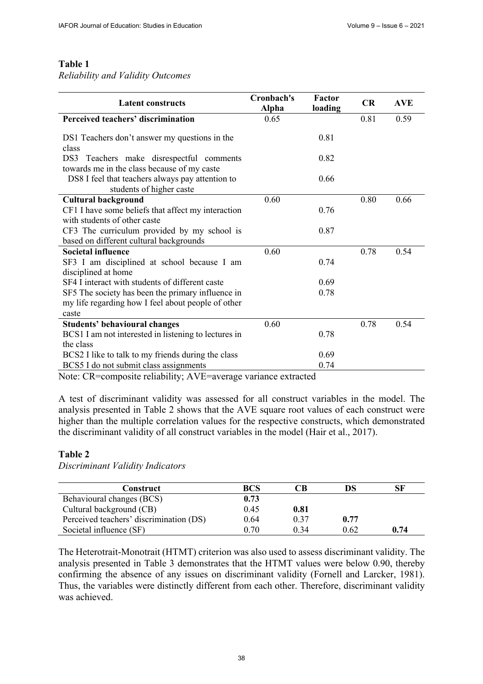#### **Table 1**

*Reliability and Validity Outcomes* 

| <b>Latent constructs</b>                               | <b>Cronbach's</b><br><b>Alpha</b> | Factor<br>loading | CR   | <b>AVE</b> |
|--------------------------------------------------------|-----------------------------------|-------------------|------|------------|
| Perceived teachers' discrimination                     | 0.65                              |                   | 0.81 | 0.59       |
| DS1 Teachers don't answer my questions in the<br>class |                                   | 0.81              |      |            |
| DS3<br>Teachers make disrespectful comments            |                                   | 0.82              |      |            |
| towards me in the class because of my caste            |                                   |                   |      |            |
| DS8 I feel that teachers always pay attention to       |                                   | 0.66              |      |            |
| students of higher caste                               |                                   |                   |      |            |
| <b>Cultural background</b>                             | 0.60                              |                   | 0.80 | 0.66       |
| CF1 I have some beliefs that affect my interaction     |                                   | 0.76              |      |            |
| with students of other caste                           |                                   |                   |      |            |
| CF3 The curriculum provided by my school is            |                                   | 0.87              |      |            |
| based on different cultural backgrounds                |                                   |                   |      |            |
| <b>Societal influence</b>                              | 0.60                              |                   | 0.78 | 0.54       |
| SF3 I am disciplined at school because I am            |                                   | 0.74              |      |            |
| disciplined at home                                    |                                   |                   |      |            |
| SF4 I interact with students of different caste        |                                   | 0.69              |      |            |
| SF5 The society has been the primary influence in      |                                   | 0.78              |      |            |
| my life regarding how I feel about people of other     |                                   |                   |      |            |
| caste                                                  |                                   |                   |      |            |
| <b>Students' behavioural changes</b>                   | 0.60                              |                   | 0.78 | 0.54       |
| BCS1 I am not interested in listening to lectures in   |                                   | 0.78              |      |            |
| the class                                              |                                   |                   |      |            |
| BCS2 I like to talk to my friends during the class     |                                   | 0.69              |      |            |
| BCS5 I do not submit class assignments                 |                                   | 0.74              |      |            |

Note: CR=composite reliability; AVE=average variance extracted

A test of discriminant validity was assessed for all construct variables in the model. The analysis presented in Table 2 shows that the AVE square root values of each construct were higher than the multiple correlation values for the respective constructs, which demonstrated the discriminant validity of all construct variables in the model (Hair et al., 2017).

#### **Table 2**

*Discriminant Validity Indicators*

| Construct                               | <b>BCS</b> | CВ   |      | SF   |
|-----------------------------------------|------------|------|------|------|
| Behavioural changes (BCS)               | 0.73       |      |      |      |
| Cultural background (CB)                | 0.45       | 0.81 |      |      |
| Perceived teachers' discrimination (DS) | 0.64       | 0.37 | 0.77 |      |
| Societal influence (SF)                 | 0.70       | 0.34 | 0.62 | 0.74 |

The Heterotrait-Monotrait (HTMT) criterion was also used to assess discriminant validity. The analysis presented in Table 3 demonstrates that the HTMT values were below 0.90, thereby confirming the absence of any issues on discriminant validity (Fornell and Larcker, 1981). Thus, the variables were distinctly different from each other. Therefore, discriminant validity was achieved.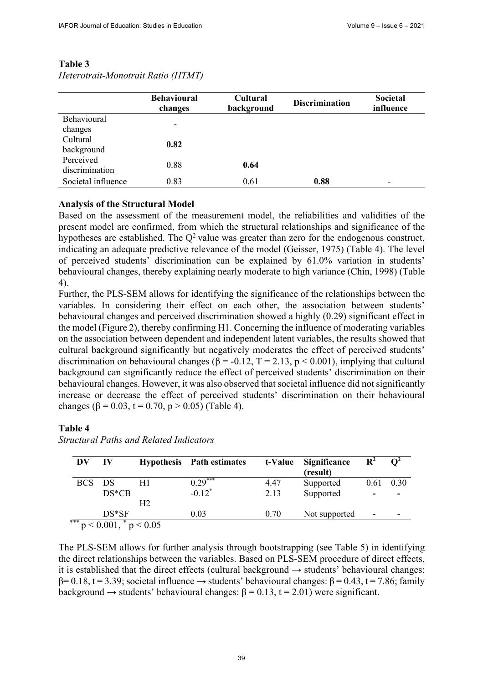|                             | <b>Behavioural</b><br>changes | <b>Cultural</b><br>background | <b>Discrimination</b> | <b>Societal</b><br>influence |
|-----------------------------|-------------------------------|-------------------------------|-----------------------|------------------------------|
| Behavioural<br>changes      |                               |                               |                       |                              |
| Cultural<br>background      | 0.82                          |                               |                       |                              |
| Perceived<br>discrimination | 0.88                          | 0.64                          |                       |                              |
| Societal influence          | 0.83                          | 0.61                          | 0.88                  | $\overline{\phantom{0}}$     |

#### **Table 3**

| Heterotrait-Monotrait Ratio (HTMT) |  |
|------------------------------------|--|
|                                    |  |

#### **Analysis of the Structural Model**

Based on the assessment of the measurement model, the reliabilities and validities of the present model are confirmed, from which the structural relationships and significance of the hypotheses are established. The  $Q^2$  value was greater than zero for the endogenous construct, indicating an adequate predictive relevance of the model (Geisser, 1975) (Table 4). The level of perceived students' discrimination can be explained by 61.0% variation in students' behavioural changes, thereby explaining nearly moderate to high variance (Chin, 1998) (Table 4).

Further, the PLS-SEM allows for identifying the significance of the relationships between the variables. In considering their effect on each other, the association between students' behavioural changes and perceived discrimination showed a highly (0.29) significant effect in the model (Figure 2), thereby confirming H1. Concerning the influence of moderating variables on the association between dependent and independent latent variables, the results showed that cultural background significantly but negatively moderates the effect of perceived students' discrimination on behavioural changes ( $\beta$  = -0.12, T = 2.13, p < 0.001), implying that cultural background can significantly reduce the effect of perceived students' discrimination on their behavioural changes. However, it was also observed that societal influence did not significantly increase or decrease the effect of perceived students' discrimination on their behavioural changes ( $\beta$  = 0.03, t = 0.70, p > 0.05) (Table 4).

#### **Table 4**

| DV     | $\mathbf{I}$ $\mathbf{V}$ |    | Hypothesis Path estimates | t-Value | Significance<br>(result) | $\mathbf{R}^2$ | $\mathbf{O}^2$ |
|--------|---------------------------|----|---------------------------|---------|--------------------------|----------------|----------------|
| BCS DS |                           | H1 | $0.29***$                 | 4.47    | Supported                | 0.61           | 0.30           |
|        | $DS*CB$                   |    | $-0.12$ <sup>*</sup>      | 2.13    | Supported                |                |                |
|        |                           | H2 |                           |         |                          |                |                |
|        | $DS*SF$                   |    | 0.03                      | 0.70    | Not supported            |                |                |

*Structural Paths and Related Indicators* 

The PLS-SEM allows for further analysis through bootstrapping (see Table 5) in identifying the direct relationships between the variables. Based on PLS-SEM procedure of direct effects, it is established that the direct effects (cultural background  $\rightarrow$  students' behavioural changes:  $β= 0.18$ , t = 3.39; societal influence  $\rightarrow$  students' behavioural changes:  $β = 0.43$ , t = 7.86; family background  $\rightarrow$  students' behavioural changes:  $\beta = 0.13$ , t = 2.01) were significant.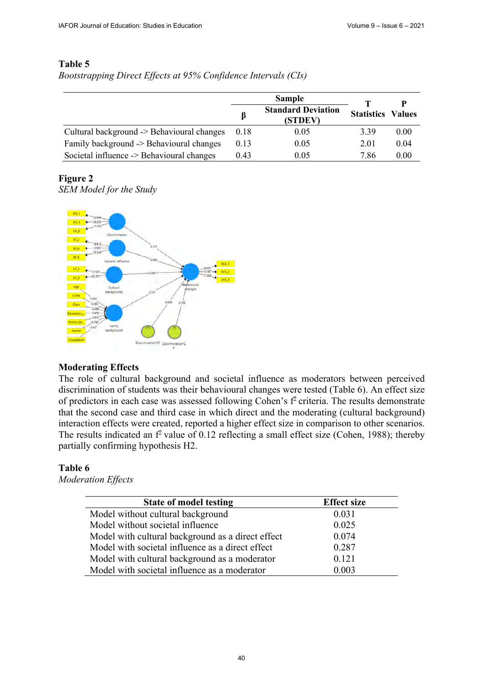#### **Table 5**

|                                            |      | <b>Sample</b>                        |                   |               |
|--------------------------------------------|------|--------------------------------------|-------------------|---------------|
|                                            | B    | <b>Standard Deviation</b><br>(STDEV) | <b>Statistics</b> | <b>Values</b> |
| Cultural background -> Behavioural changes | 0.18 | 0.05                                 | 3.39              | 0.00          |
| Family background -> Behavioural changes   | 0.13 | 0.05                                 | 2.01              | 0.04          |
| Societal influence -> Behavioural changes  | 0.43 | 0.05                                 | 7.86              | 0.00          |

### *Bootstrapping Direct Effects at 95% Confidence Intervals (CIs)*

# **Figure 2**

*SEM Model for the Study*



## **Moderating Effects**

The role of cultural background and societal influence as moderators between perceived discrimination of students was their behavioural changes were tested (Table 6). An effect size of predictors in each case was assessed following Cohen's  $f^2$  criteria. The results demonstrate that the second case and third case in which direct and the moderating (cultural background) interaction effects were created, reported a higher effect size in comparison to other scenarios. The results indicated an  $f^2$  value of 0.12 reflecting a small effect size (Cohen, 1988); thereby partially confirming hypothesis H2.

## **Table 6**

*Moderation Effects*

| <b>State of model testing</b>                     | <b>Effect size</b> |
|---------------------------------------------------|--------------------|
| Model without cultural background                 | 0.031              |
| Model without societal influence                  | 0.025              |
| Model with cultural background as a direct effect | 0.074              |
| Model with societal influence as a direct effect  | 0.287              |
| Model with cultural background as a moderator     | 0.121              |
| Model with societal influence as a moderator      | 0.003              |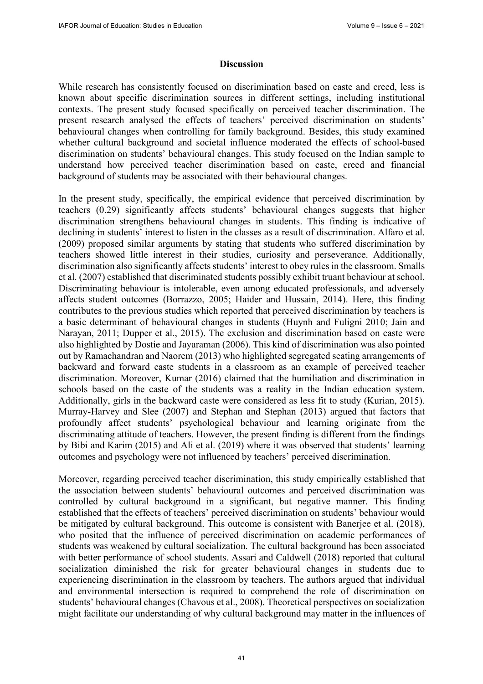#### **Discussion**

While research has consistently focused on discrimination based on caste and creed, less is known about specific discrimination sources in different settings, including institutional contexts. The present study focused specifically on perceived teacher discrimination. The present research analysed the effects of teachers' perceived discrimination on students' behavioural changes when controlling for family background. Besides, this study examined whether cultural background and societal influence moderated the effects of school-based discrimination on students' behavioural changes. This study focused on the Indian sample to understand how perceived teacher discrimination based on caste, creed and financial background of students may be associated with their behavioural changes.

In the present study, specifically, the empirical evidence that perceived discrimination by teachers (0.29) significantly affects students' behavioural changes suggests that higher discrimination strengthens behavioural changes in students. This finding is indicative of declining in students' interest to listen in the classes as a result of discrimination. Alfaro et al. (2009) proposed similar arguments by stating that students who suffered discrimination by teachers showed little interest in their studies, curiosity and perseverance. Additionally, discrimination also significantly affects students' interest to obey rules in the classroom. Smalls et al. (2007) established that discriminated students possibly exhibit truant behaviour at school. Discriminating behaviour is intolerable, even among educated professionals, and adversely affects student outcomes (Borrazzo, 2005; Haider and Hussain, 2014). Here, this finding contributes to the previous studies which reported that perceived discrimination by teachers is a basic determinant of behavioural changes in students (Huynh and Fuligni 2010; Jain and Narayan, 2011; Dupper et al., 2015). The exclusion and discrimination based on caste were also highlighted by Dostie and Jayaraman (2006). This kind of discrimination was also pointed out by Ramachandran and Naorem (2013) who highlighted segregated seating arrangements of backward and forward caste students in a classroom as an example of perceived teacher discrimination. Moreover, Kumar (2016) claimed that the humiliation and discrimination in schools based on the caste of the students was a reality in the Indian education system. Additionally, girls in the backward caste were considered as less fit to study (Kurian, 2015). Murray-Harvey and Slee (2007) and Stephan and Stephan (2013) argued that factors that profoundly affect students' psychological behaviour and learning originate from the discriminating attitude of teachers. However, the present finding is different from the findings by Bibi and Karim (2015) and Ali et al. (2019) where it was observed that students' learning outcomes and psychology were not influenced by teachers' perceived discrimination.

Moreover, regarding perceived teacher discrimination, this study empirically established that the association between students' behavioural outcomes and perceived discrimination was controlled by cultural background in a significant, but negative manner. This finding established that the effects of teachers' perceived discrimination on students' behaviour would be mitigated by cultural background. This outcome is consistent with Banerjee et al. (2018), who posited that the influence of perceived discrimination on academic performances of students was weakened by cultural socialization. The cultural background has been associated with better performance of school students. Assari and Caldwell (2018) reported that cultural socialization diminished the risk for greater behavioural changes in students due to experiencing discrimination in the classroom by teachers. The authors argued that individual and environmental intersection is required to comprehend the role of discrimination on students' behavioural changes (Chavous et al., 2008). Theoretical perspectives on socialization might facilitate our understanding of why cultural background may matter in the influences of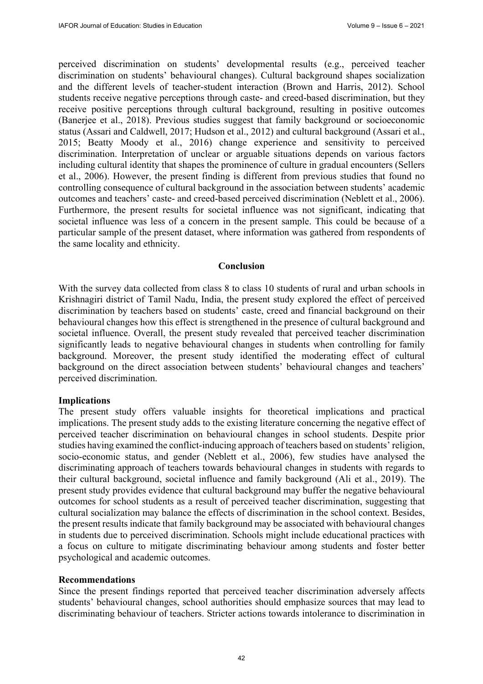perceived discrimination on students' developmental results (e.g., perceived teacher discrimination on students' behavioural changes). Cultural background shapes socialization and the different levels of teacher-student interaction (Brown and Harris, 2012). School students receive negative perceptions through caste- and creed-based discrimination, but they receive positive perceptions through cultural background, resulting in positive outcomes (Banerjee et al., 2018). Previous studies suggest that family background or socioeconomic status (Assari and Caldwell, 2017; Hudson et al., 2012) and cultural background (Assari et al., 2015; Beatty Moody et al., 2016) change experience and sensitivity to perceived discrimination. Interpretation of unclear or arguable situations depends on various factors including cultural identity that shapes the prominence of culture in gradual encounters (Sellers et al., 2006). However, the present finding is different from previous studies that found no controlling consequence of cultural background in the association between students' academic outcomes and teachers' caste- and creed-based perceived discrimination (Neblett et al., 2006). Furthermore, the present results for societal influence was not significant, indicating that societal influence was less of a concern in the present sample. This could be because of a particular sample of the present dataset, where information was gathered from respondents of the same locality and ethnicity.

#### **Conclusion**

With the survey data collected from class 8 to class 10 students of rural and urban schools in Krishnagiri district of Tamil Nadu, India, the present study explored the effect of perceived discrimination by teachers based on students' caste, creed and financial background on their behavioural changes how this effect is strengthened in the presence of cultural background and societal influence. Overall, the present study revealed that perceived teacher discrimination significantly leads to negative behavioural changes in students when controlling for family background. Moreover, the present study identified the moderating effect of cultural background on the direct association between students' behavioural changes and teachers' perceived discrimination.

#### **Implications**

The present study offers valuable insights for theoretical implications and practical implications. The present study adds to the existing literature concerning the negative effect of perceived teacher discrimination on behavioural changes in school students. Despite prior studies having examined the conflict-inducing approach of teachers based on students' religion, socio-economic status, and gender (Neblett et al., 2006), few studies have analysed the discriminating approach of teachers towards behavioural changes in students with regards to their cultural background, societal influence and family background (Ali et al., 2019). The present study provides evidence that cultural background may buffer the negative behavioural outcomes for school students as a result of perceived teacher discrimination, suggesting that cultural socialization may balance the effects of discrimination in the school context. Besides, the present results indicate that family background may be associated with behavioural changes in students due to perceived discrimination. Schools might include educational practices with a focus on culture to mitigate discriminating behaviour among students and foster better psychological and academic outcomes.

## **Recommendations**

Since the present findings reported that perceived teacher discrimination adversely affects students' behavioural changes, school authorities should emphasize sources that may lead to discriminating behaviour of teachers. Stricter actions towards intolerance to discrimination in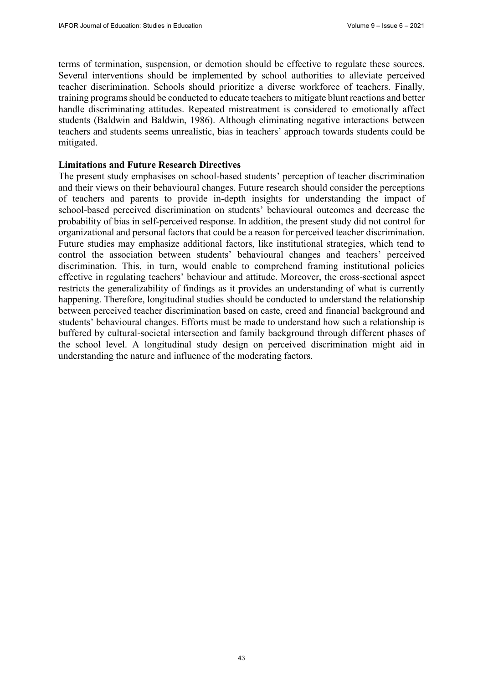terms of termination, suspension, or demotion should be effective to regulate these sources. Several interventions should be implemented by school authorities to alleviate perceived teacher discrimination. Schools should prioritize a diverse workforce of teachers. Finally, training programs should be conducted to educate teachers to mitigate blunt reactions and better handle discriminating attitudes. Repeated mistreatment is considered to emotionally affect students (Baldwin and Baldwin, 1986). Although eliminating negative interactions between teachers and students seems unrealistic, bias in teachers' approach towards students could be mitigated.

### **Limitations and Future Research Directives**

The present study emphasises on school-based students' perception of teacher discrimination and their views on their behavioural changes. Future research should consider the perceptions of teachers and parents to provide in-depth insights for understanding the impact of school-based perceived discrimination on students' behavioural outcomes and decrease the probability of bias in self-perceived response. In addition, the present study did not control for organizational and personal factors that could be a reason for perceived teacher discrimination. Future studies may emphasize additional factors, like institutional strategies, which tend to control the association between students' behavioural changes and teachers' perceived discrimination. This, in turn, would enable to comprehend framing institutional policies effective in regulating teachers' behaviour and attitude. Moreover, the cross-sectional aspect restricts the generalizability of findings as it provides an understanding of what is currently happening. Therefore, longitudinal studies should be conducted to understand the relationship between perceived teacher discrimination based on caste, creed and financial background and students' behavioural changes. Efforts must be made to understand how such a relationship is buffered by cultural-societal intersection and family background through different phases of the school level. A longitudinal study design on perceived discrimination might aid in understanding the nature and influence of the moderating factors.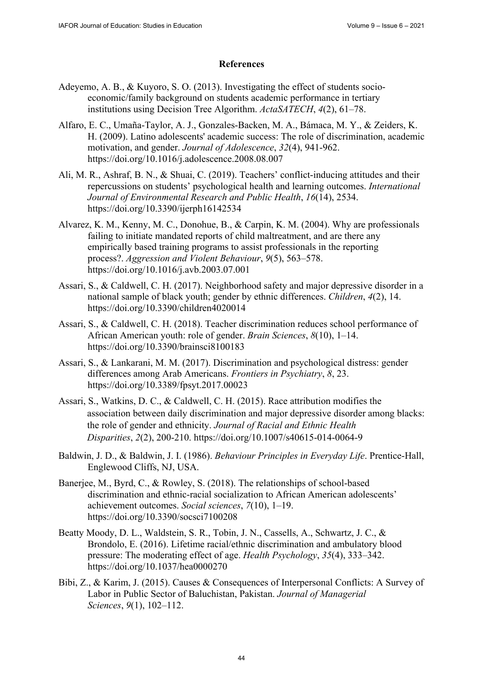#### **References**

- Adeyemo, A. B., & Kuyoro, S. O. (2013). Investigating the effect of students socioeconomic/family background on students academic performance in tertiary institutions using Decision Tree Algorithm. *ActaSATECH*, *4*(2), 61–78.
- Alfaro, E. C., Umaña-Taylor, A. J., Gonzales-Backen, M. A., Bámaca, M. Y., & Zeiders, K. H. (2009). Latino adolescents' academic success: The role of discrimination, academic motivation, and gender. *Journal of Adolescence*, *32*(4), 941-962. <https://doi.org/10.1016/j.adolescence.2008.08.007>
- Ali, M. R., Ashraf, B. N., & Shuai, C. (2019). Teachers' conflict-inducing attitudes and their repercussions on students' psychological health and learning outcomes. *International Journal of Environmental Research and Public Health*, *16*(14), 2534. <https://doi.org/10.3390/ijerph16142534>
- Alvarez, K. M., Kenny, M. C., Donohue, B., & Carpin, K. M. (2004). Why are professionals failing to initiate mandated reports of child maltreatment, and are there any empirically based training programs to assist professionals in the reporting process?. *Aggression and Violent Behaviour*, *9*(5), 563–578. <https://doi.org/10.1016/j.avb.2003.07.001>
- Assari, S., & Caldwell, C. H. (2017). Neighborhood safety and major depressive disorder in a national sample of black youth; gender by ethnic differences. *Children*, *4*(2), 14. <https://doi.org/10.3390/children4020014>
- Assari, S., & Caldwell, C. H. (2018). Teacher discrimination reduces school performance of African American youth: role of gender. *Brain Sciences*, *8*(10), 1–14. <https://doi.org/10.3390/brainsci8100183>
- Assari, S., & Lankarani, M. M. (2017). Discrimination and psychological distress: gender differences among Arab Americans. *Frontiers in Psychiatry*, *8*, 23. <https://doi.org/10.3389/fpsyt.2017.00023>
- Assari, S., Watkins, D. C., & Caldwell, C. H. (2015). Race attribution modifies the association between daily discrimination and major depressive disorder among blacks: the role of gender and ethnicity. *Journal of Racial and Ethnic Health Disparities*, *2*(2), 200-210. <https://doi.org/10.1007/s40615-014-0064-9>
- Baldwin, J. D., & Baldwin, J. I. (1986). *Behaviour Principles in Everyday Life*. Prentice-Hall, Englewood Cliffs, NJ, USA.
- Banerjee, M., Byrd, C., & Rowley, S. (2018). The relationships of school-based discrimination and ethnic-racial socialization to African American adolescents' achievement outcomes. *Social sciences*, *7*(10), 1–19. <https://doi.org/10.3390/socsci7100208>
- Beatty Moody, D. L., Waldstein, S. R., Tobin, J. N., Cassells, A., Schwartz, J. C., & Brondolo, E. (2016). Lifetime racial/ethnic discrimination and ambulatory blood pressure: The moderating effect of age. *Health Psychology*, *35*(4), 333–342. <https://doi.org/10.1037/hea0000270>
- Bibi, Z., & Karim, J. (2015). Causes & Consequences of Interpersonal Conflicts: A Survey of Labor in Public Sector of Baluchistan, Pakistan. *Journal of Managerial Sciences*, *9*(1), 102–112.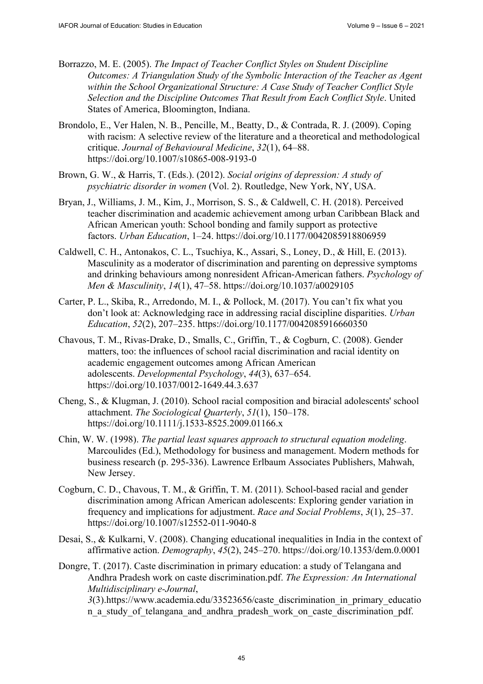- Borrazzo, M. E. (2005). *The Impact of Teacher Conflict Styles on Student Discipline Outcomes: A Triangulation Study of the Symbolic Interaction of the Teacher as Agent within the School Organizational Structure: A Case Study of Teacher Conflict Style Selection and the Discipline Outcomes That Result from Each Conflict Style*. United States of America, Bloomington, Indiana.
- Brondolo, E., Ver Halen, N. B., Pencille, M., Beatty, D., & Contrada, R. J. (2009). Coping with racism: A selective review of the literature and a theoretical and methodological critique. *Journal of Behavioural Medicine*, *32*(1), 64–88. <https://doi.org/10.1007/s10865-008-9193-0>
- Brown, G. W., & Harris, T. (Eds.). (2012). *Social origins of depression: A study of psychiatric disorder in women* (Vol. 2). Routledge, New York, NY, USA.
- Bryan, J., Williams, J. M., Kim, J., Morrison, S. S., & Caldwell, C. H. (2018). Perceived teacher discrimination and academic achievement among urban Caribbean Black and African American youth: School bonding and family support as protective factors. *Urban Education*, 1–24.<https://doi.org/10.1177/0042085918806959>
- Caldwell, C. H., Antonakos, C. L., Tsuchiya, K., Assari, S., Loney, D., & Hill, E. (2013). Masculinity as a moderator of discrimination and parenting on depressive symptoms and drinking behaviours among nonresident African-American fathers. *Psychology of Men & Masculinity*, *14*(1), 47–58.<https://doi.org/10.1037/a0029105>
- Carter, P. L., Skiba, R., Arredondo, M. I., & Pollock, M. (2017). You can't fix what you don't look at: Acknowledging race in addressing racial discipline disparities. *Urban Education*, *52*(2), 207–235.<https://doi.org/10.1177/0042085916660350>
- Chavous, T. M., Rivas-Drake, D., Smalls, C., Griffin, T., & Cogburn, C. (2008). Gender matters, too: the influences of school racial discrimination and racial identity on academic engagement outcomes among African American adolescents. *Developmental Psychology*, *44*(3), 637–654. <https://doi.org/10.1037/0012-1649.44.3.637>
- Cheng, S., & Klugman, J. (2010). School racial composition and biracial adolescents' school attachment. *The Sociological Quarterly*, *51*(1), 150–178. <https://doi.org/10.1111/j.1533-8525.2009.01166.x>
- Chin, W. W. (1998). *The partial least squares approach to structural equation modeling*. Marcoulides (Ed.), Methodology for business and management. Modern methods for business research (p. 295-336). Lawrence Erlbaum Associates Publishers, Mahwah, New Jersey.
- Cogburn, C. D., Chavous, T. M., & Griffin, T. M. (2011). School-based racial and gender discrimination among African American adolescents: Exploring gender variation in frequency and implications for adjustment. *Race and Social Problems*, *3*(1), 25–37. <https://doi.org/10.1007/s12552-011-9040-8>
- Desai, S., & Kulkarni, V. (2008). Changing educational inequalities in India in the context of affirmative action. *Demography*, *45*(2), 245–270.<https://doi.org/10.1353/dem.0.0001>

Dongre, T. (2017). Caste discrimination in primary education: a study of Telangana and Andhra Pradesh work on caste discrimination.pdf. *The Expression: An International Multidisciplinary e-Journal*, *3*(3).https://www.academia.edu/33523656/caste\_discrimination\_in\_primary\_educatio n a study of telangana and andhra pradesh work on caste discrimination pdf.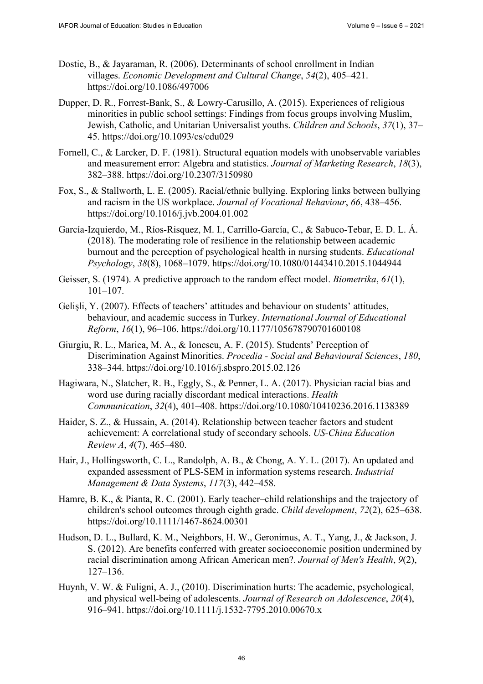- Dostie, B., & Jayaraman, R. (2006). Determinants of school enrollment in Indian villages. *Economic Development and Cultural Change*, *54*(2), 405–421. <https://doi.org/10.1086/497006>
- Dupper, D. R., Forrest-Bank, S., & Lowry-Carusillo, A. (2015). Experiences of religious minorities in public school settings: Findings from focus groups involving Muslim, Jewish, Catholic, and Unitarian Universalist youths. *Children and Schools*, *37*(1), 37– 45. <https://doi.org/10.1093/cs/cdu029>
- Fornell, C., & Larcker, D. F. (1981). Structural equation models with unobservable variables and measurement error: Algebra and statistics. *Journal of Marketing Research*, *18*(3), 382–388. <https://doi.org/10.2307/3150980>
- Fox, S., & Stallworth, L. E. (2005). Racial/ethnic bullying. Exploring links between bullying and racism in the US workplace. *Journal of Vocational Behaviour*, *66*, 438–456. <https://doi.org/10.1016/j.jvb.2004.01.002>
- García-Izquierdo, M., Ríos-Risquez, M. I., Carrillo-García, C., & Sabuco-Tebar, E. D. L. Á. (2018). The moderating role of resilience in the relationship between academic burnout and the perception of psychological health in nursing students. *Educational Psychology*, *38*(8), 1068–1079.<https://doi.org/10.1080/01443410.2015.1044944>
- Geisser, S. (1974). A predictive approach to the random effect model. *Biometrika*, *61*(1), 101–107.
- Gelişli, Y. (2007). Effects of teachers' attitudes and behaviour on students' attitudes, behaviour, and academic success in Turkey. *International Journal of Educational Reform*, *16*(1), 96–106.<https://doi.org/10.1177/105678790701600108>
- Giurgiu, R. L., Marica, M. A., & Ionescu, A. F. (2015). Students' Perception of Discrimination Against Minorities. *Procedia - Social and Behavioural Sciences*, *180*, 338–344. <https://doi.org/10.1016/j.sbspro.2015.02.126>
- Hagiwara, N., Slatcher, R. B., Eggly, S., & Penner, L. A. (2017). Physician racial bias and word use during racially discordant medical interactions. *Health Communication*, *32*(4), 401–408. <https://doi.org/10.1080/10410236.2016.1138389>
- Haider, S. Z., & Hussain, A. (2014). Relationship between teacher factors and student achievement: A correlational study of secondary schools. *US-China Education Review A*, *4*(7), 465–480.
- Hair, J., Hollingsworth, C. L., Randolph, A. B., & Chong, A. Y. L. (2017). An updated and expanded assessment of PLS-SEM in information systems research. *Industrial Management & Data Systems*, *117*(3), 442–458.
- Hamre, B. K., & Pianta, R. C. (2001). Early teacher–child relationships and the trajectory of children's school outcomes through eighth grade. *Child development*, *72*(2), 625–638. <https://doi.org/10.1111/1467-8624.00301>
- Hudson, D. L., Bullard, K. M., Neighbors, H. W., Geronimus, A. T., Yang, J., & Jackson, J. S. (2012). Are benefits conferred with greater socioeconomic position undermined by racial discrimination among African American men?. *Journal of Men's Health*, *9*(2), 127–136.
- Huynh, V. W. & Fuligni, A. J., (2010). Discrimination hurts: The academic, psychological, and physical well-being of adolescents. *Journal of Research on Adolescence*, *20*(4), 916–941. <https://doi.org/10.1111/j.1532-7795.2010.00670.x>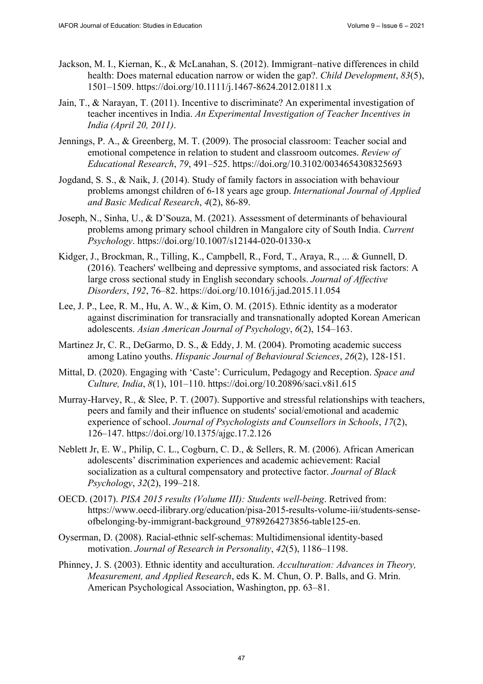- Jackson, M. I., Kiernan, K., & McLanahan, S. (2012). Immigrant–native differences in child health: Does maternal education narrow or widen the gap?. *Child Development*, *83*(5), 1501–1509. <https://doi.org/10.1111/j.1467-8624.2012.01811.x>
- Jain, T., & Narayan, T. (2011). Incentive to discriminate? An experimental investigation of teacher incentives in India. *An Experimental Investigation of Teacher Incentives in India (April 20, 2011)*.
- Jennings, P. A., & Greenberg, M. T. (2009). The prosocial classroom: Teacher social and emotional competence in relation to student and classroom outcomes. *Review of Educational Research*, *79*, 491–525.<https://doi.org/10.3102/0034654308325693>
- Jogdand, S. S., & Naik, J. (2014). Study of family factors in association with behaviour problems amongst children of 6-18 years age group. *International Journal of Applied and Basic Medical Research*, *4*(2), 86-89.
- Joseph, N., Sinha, U., & D'Souza, M. (2021). Assessment of determinants of behavioural problems among primary school children in Mangalore city of South India. *Current Psychology*.<https://doi.org/10.1007/s12144-020-01330-x>
- Kidger, J., Brockman, R., Tilling, K., Campbell, R., Ford, T., Araya, R., ... & Gunnell, D. (2016). Teachers' wellbeing and depressive symptoms, and associated risk factors: A large cross sectional study in English secondary schools. *Journal of Affective Disorders*, *192*, 76–82. <https://doi.org/10.1016/j.jad.2015.11.054>
- Lee, J. P., Lee, R. M., Hu, A. W., & Kim, O. M. (2015). Ethnic identity as a moderator against discrimination for transracially and transnationally adopted Korean American adolescents. *Asian American Journal of Psychology*, *6*(2), 154–163.
- Martinez Jr, C. R., DeGarmo, D. S., & Eddy, J. M. (2004). Promoting academic success among Latino youths. *Hispanic Journal of Behavioural Sciences*, *26*(2), 128-151.
- Mittal, D. (2020). Engaging with 'Caste': Curriculum, Pedagogy and Reception. *Space and Culture, India*, *8*(1), 101–110. <https://doi.org/10.20896/saci.v8i1.615>
- Murray-Harvey, R., & Slee, P. T. (2007). Supportive and stressful relationships with teachers, peers and family and their influence on students' social/emotional and academic experience of school. *Journal of Psychologists and Counsellors in Schools*, *17*(2), 126–147. <https://doi.org/10.1375/ajgc.17.2.126>
- Neblett Jr, E. W., Philip, C. L., Cogburn, C. D., & Sellers, R. M. (2006). African American adolescents' discrimination experiences and academic achievement: Racial socialization as a cultural compensatory and protective factor. *Journal of Black Psychology*, *32*(2), 199–218.
- OECD. (2017). *PISA 2015 results (Volume III): Students well-being*. Retrived from: [https://www.oecd-ilibrary.org/education/pisa-2015-results-volume-iii/students-sense](https://www.oecd-ilibrary.org/education/pisa-2015-results-volume-iii/students-sense-ofbelonging-by-immigrant-background_9789264273856-table125-en)ofbelonging-[by-immigrant-background\\_9789264273856-table125-en.](https://www.oecd-ilibrary.org/education/pisa-2015-results-volume-iii/students-sense-ofbelonging-by-immigrant-background_9789264273856-table125-en)
- Oyserman, D. (2008). Racial-ethnic self-schemas: Multidimensional identity-based motivation. *Journal of Research in Personality*, *42*(5), 1186–1198.
- Phinney, J. S. (2003). Ethnic identity and acculturation. *Acculturation: Advances in Theory, Measurement, and Applied Research*, eds K. M. Chun, O. P. Balls, and G. Mrin. American Psychological Association, Washington, pp. 63–81.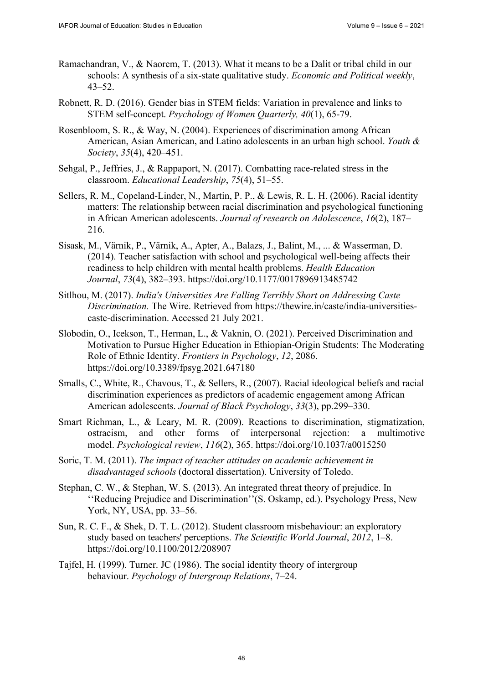- Ramachandran, V., & Naorem, T. (2013). What it means to be a Dalit or tribal child in our schools: A synthesis of a six-state qualitative study. *Economic and Political weekly*, 43–52.
- Robnett, R. D. (2016). Gender bias in STEM fields: Variation in prevalence and links to STEM self-concept. *Psychology of Women Quarterly, 40*(1), 65-79.
- Rosenbloom, S. R., & Way, N. (2004). Experiences of discrimination among African American, Asian American, and Latino adolescents in an urban high school. *Youth & Society*, *35*(4), 420–451.
- Sehgal, P., Jeffries, J., & Rappaport, N. (2017). Combatting race-related stress in the classroom. *Educational Leadership*, *75*(4), 51–55.
- Sellers, R. M., Copeland-Linder, N., Martin, P. P., & Lewis, R. L. H. (2006). Racial identity matters: The relationship between racial discrimination and psychological functioning in African American adolescents. *Journal of research on Adolescence*, *16*(2), 187– 216.
- Sisask, M., Värnik, P., Värnik, A., Apter, A., Balazs, J., Balint, M., ... & Wasserman, D. (2014). Teacher satisfaction with school and psychological well-being affects their readiness to help children with mental health problems. *Health Education Journal*, *73*(4), 382–393.<https://doi.org/10.1177/0017896913485742>
- Sitlhou, M. (2017). *India's Universities Are Falling Terribly Short on Addressing Caste Discrimination.* [The Wire. Retrieved from https://thewire.in/caste/india-universities](https://thewire.in/caste/india-universities-caste-discrimination)caste-[discrimination. Ac](https://thewire.in/caste/india-universities-caste-discrimination)cessed 21 July 2021.
- Slobodin, O., Icekson, T., Herman, L., & Vaknin, O. (2021). Perceived Discrimination and Motivation to Pursue Higher Education in Ethiopian-Origin Students: The Moderating Role of Ethnic Identity. *Frontiers in Psychology*, *12*, 2086. <https://doi.org/10.3389/fpsyg.2021.647180>
- Smalls, C., White, R., Chavous, T., & Sellers, R., (2007). Racial ideological beliefs and racial discrimination experiences as predictors of academic engagement among African American adolescents. *Journal of Black Psychology*, *33*(3), pp.299–330.
- Smart Richman, L., & Leary, M. R. (2009). Reactions to discrimination, stigmatization, ostracism, and other forms of interpersonal rejection: a multimotive model. *Psychological review*, *116*(2), 365. <https://doi.org/10.1037/a0015250>
- Soric, T. M. (2011). *The impact of teacher attitudes on academic achievement in disadvantaged schools* (doctoral dissertation). University of Toledo.
- Stephan, C. W., & Stephan, W. S. (2013). An integrated threat theory of prejudice. In ''Reducing Prejudice and Discrimination''(S. Oskamp, ed.). Psychology Press, New York, NY, USA, pp. 33–56.
- Sun, R. C. F., & Shek, D. T. L. (2012). Student classroom misbehaviour: an exploratory study based on teachers' perceptions. *The Scientific World Journal*, *2012*, 1–8. <https://doi.org/10.1100/2012/208907>
- Tajfel, H. (1999). Turner. JC (1986). The social identity theory of intergroup behaviour. *Psychology of Intergroup Relations*, 7–24.